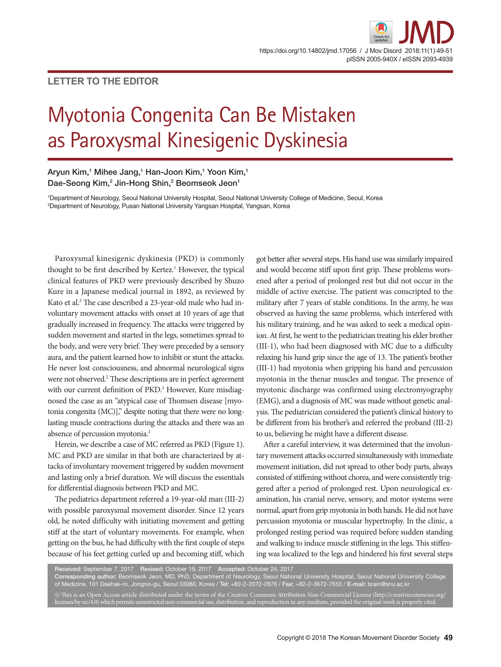## **LETTER TO THE EDITOR**

# Myotonia Congenita Can Be Mistaken as Paroxysmal Kinesigenic Dyskinesia

### Aryun Kim,1 Mihee Jang,1 Han-Joon Kim,1 Yoon Kim,1 Dae-Seong Kim,<sup>2</sup> Jin-Hong Shin,<sup>2</sup> Beomseok Jeon<sup>1</sup>

1 Department of Neurology, Seoul National University Hospital, Seoul National University College of Medicine, Seoul, Korea 2 Department of Neurology, Pusan National University Yangsan Hospital, Yangsan, Korea

Paroxysmal kinesigenic dyskinesia (PKD) is commonly thought to be first described by Kertez.<sup>1</sup> However, the typical clinical features of PKD were previously described by Shuzo Kure in a Japanese medical journal in 1892, as reviewed by Kato et al.<sup>2</sup> The case described a 23-year-old male who had involuntary movement attacks with onset at 10 years of age that gradually increased in frequency. The attacks were triggered by sudden movement and started in the legs, sometimes spread to the body, and were very brief. They were preceded by a sensory aura, and the patient learned how to inhibit or stunt the attacks. He never lost consciousness, and abnormal neurological signs were not observed.<sup>2</sup> These descriptions are in perfect agreement with our current definition of PKD.<sup>3</sup> However, Kure misdiagnosed the case as an "atypical case of Thomsen disease [myotonia congenita (MC)]," despite noting that there were no longlasting muscle contractions during the attacks and there was an absence of percussion myotonia.<sup>2</sup>

Herein, we describe a case of MC referred as PKD (Figure 1). MC and PKD are similar in that both are characterized by attacks of involuntary movement triggered by sudden movement and lasting only a brief duration. We will discuss the essentials for differential diagnosis between PKD and MC.

The pediatrics department referred a 19-year-old man (III-2) with possible paroxysmal movement disorder. Since 12 years old, he noted difficulty with initiating movement and getting stiff at the start of voluntary movements. For example, when getting on the bus, he had difficulty with the first couple of steps because of his feet getting curled up and becoming stiff, which

got better after several steps. His hand use was similarly impaired and would become stiff upon first grip. These problems worsened after a period of prolonged rest but did not occur in the middle of active exercise. The patient was conscripted to the military after 7 years of stable conditions. In the army, he was observed as having the same problems, which interfered with his military training, and he was asked to seek a medical opinion. At first, he went to the pediatrician treating his elder brother (III-1), who had been diagnosed with MC due to a difficulty relaxing his hand grip since the age of 13. The patient's brother (III-1) had myotonia when gripping his hand and percussion myotonia in the thenar muscles and tongue. The presence of myotonic discharge was confirmed using electromyography (EMG), and a diagnosis of MC was made without genetic analysis. The pediatrician considered the patient's clinical history to be different from his brother's and referred the proband (III-2) to us, believing he might have a different disease.

After a careful interview, it was determined that the involuntary movement attacks occurred simultaneously with immediate movement initiation, did not spread to other body parts, always consisted of stiffening without chorea, and were consistently triggered after a period of prolonged rest. Upon neurological examination, his cranial nerve, sensory, and motor systems were normal, apart from grip myotonia in both hands. He did not have percussion myotonia or muscular hypertrophy. In the clinic, a prolonged resting period was required before sudden standing and walking to induce muscle stiffening in the legs. This stiffening was localized to the legs and hindered his first several steps

Received: September 7, 2017 Revised: October 19, 2017 Accepted: October 24, 2017 Corresponding author: Beomseok Jeon, MD, PhD, Department of Neurology, Seoul National University Hospital, Seoul National University College of Medicine, 101 Daehak-ro, Jongno-gu, Seoul 03080, Korea / Tel: +82-2-2072-2876 / Fax: +82-2-3672-7553 / E-mail: brain@snu.ac.kr

 $\circledcirc$  This is an Open Access article distributed under the terms of the Creative Commons Attribution Non-Commercial License (http://creativecommons.org/ licenses/by-nc/4.0) which permits unrestricted non-commercial use, distribution, and reproduction in any medium, provided the original work is properly cited.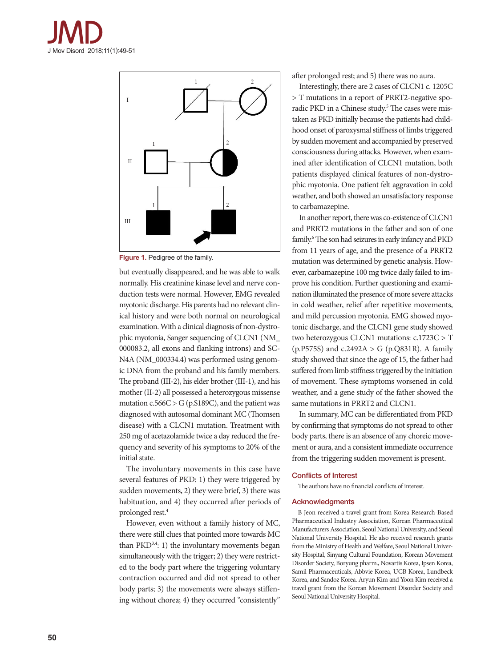



**Figure 1.** Pedigree of the family.

but eventually disappeared, and he was able to walk normally. His creatinine kinase level and nerve conduction tests were normal. However, EMG revealed myotonic discharge. His parents had no relevant clinical history and were both normal on neurological examination. With a clinical diagnosis of non-dystrophic myotonia, Sanger sequencing of CLCN1 (NM\_ 000083.2, all exons and flanking introns) and SC-N4A (NM\_000334.4) was performed using genomic DNA from the proband and his family members. The proband (III-2), his elder brother (III-1), and his mother (II-2) all possessed a heterozygous missense mutation  $c.566C > G$  (p.S189C), and the patient was diagnosed with autosomal dominant MC (Thomsen disease) with a CLCN1 mutation. Treatment with 250 mg of acetazolamide twice a day reduced the frequency and severity of his symptoms to 20% of the initial state.

The involuntary movements in this case have several features of PKD: 1) they were triggered by sudden movements, 2) they were brief, 3) there was habituation, and 4) they occurred after periods of prolonged rest.4

However, even without a family history of MC, there were still clues that pointed more towards MC than  $PKD^{3,4}$ : 1) the involuntary movements began simultaneously with the trigger; 2) they were restricted to the body part where the triggering voluntary contraction occurred and did not spread to other body parts; 3) the movements were always stiffening without chorea; 4) they occurred "consistently"

after prolonged rest; and 5) there was no aura.

Interestingly, there are 2 cases of CLCN1 c. 1205C > T mutations in a report of PRRT2-negative sporadic PKD in a Chinese study.<sup>5</sup> The cases were mistaken as PKD initially because the patients had childhood onset of paroxysmal stiffness of limbs triggered by sudden movement and accompanied by preserved consciousness during attacks. However, when examined after identification of CLCN1 mutation, both patients displayed clinical features of non-dystrophic myotonia. One patient felt aggravation in cold weather, and both showed an unsatisfactory response to carbamazepine.

In another report, there was co-existence of CLCN1 and PRRT2 mutations in the father and son of one family.<sup>6</sup> The son had seizures in early infancy and PKD from 11 years of age, and the presence of a PRRT2 mutation was determined by genetic analysis. However, carbamazepine 100 mg twice daily failed to improve his condition. Further questioning and examination illuminated the presence of more severe attacks in cold weather, relief after repetitive movements, and mild percussion myotonia. EMG showed myotonic discharge, and the CLCN1 gene study showed two heterozygous CLCN1 mutations: c.1723C > T (p.P575S) and c.2492A > G (p.Q831R). A family study showed that since the age of 15, the father had suffered from limb stiffness triggered by the initiation of movement. These symptoms worsened in cold weather, and a gene study of the father showed the same mutations in PRRT2 and CLCN1.

In summary, MC can be differentiated from PKD by confirming that symptoms do not spread to other body parts, there is an absence of any choreic movement or aura, and a consistent immediate occurrence from the triggering sudden movement is present.

#### Conflicts of Interest

The authors have no financial conflicts of interest.

#### Acknowledgments

B Jeon received a travel grant from Korea Research-Based Pharmaceutical Industry Association, Korean Pharmaceutical Manufacturers Association, Seoul National University, and Seoul National University Hospital. He also received research grants from the Ministry of Health and Welfare, Seoul National University Hospital, Sinyang Cultural Foundation, Korean Movement Disorder Society, Boryung pharm., Novartis Korea, Ipsen Korea, Samil Pharmaceuticals, Abbvie Korea, UCB Korea, Lundbeck Korea, and Sandoz Korea. Aryun Kim and Yoon Kim received a travel grant from the Korean Movement Disorder Society and Seoul National University Hospital.